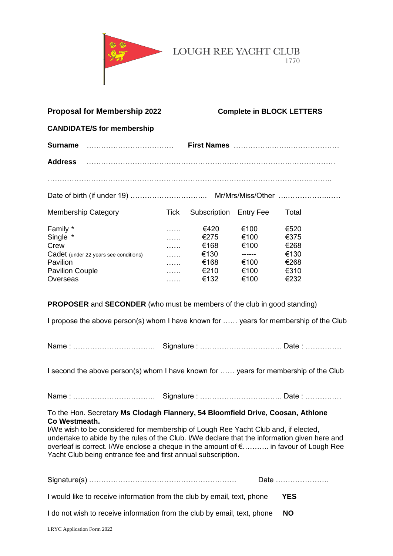

LOUGH REE YACHT CLUB 1770

| <b>Proposal for Membership 2022</b>                                                                                                                                                                                                                                                                                                                                                                                                                      |                                                      |                                                      | <b>Complete in BLOCK LETTERS</b>                       |                                                      |  |
|----------------------------------------------------------------------------------------------------------------------------------------------------------------------------------------------------------------------------------------------------------------------------------------------------------------------------------------------------------------------------------------------------------------------------------------------------------|------------------------------------------------------|------------------------------------------------------|--------------------------------------------------------|------------------------------------------------------|--|
| <b>CANDIDATE/S for membership</b>                                                                                                                                                                                                                                                                                                                                                                                                                        |                                                      |                                                      |                                                        |                                                      |  |
| Surname                                                                                                                                                                                                                                                                                                                                                                                                                                                  |                                                      |                                                      |                                                        |                                                      |  |
| <b>Address</b>                                                                                                                                                                                                                                                                                                                                                                                                                                           |                                                      |                                                      |                                                        |                                                      |  |
|                                                                                                                                                                                                                                                                                                                                                                                                                                                          |                                                      |                                                      |                                                        |                                                      |  |
|                                                                                                                                                                                                                                                                                                                                                                                                                                                          |                                                      |                                                      |                                                        |                                                      |  |
| <b>Membership Category</b>                                                                                                                                                                                                                                                                                                                                                                                                                               | Tick                                                 | <b>Subscription Entry Fee</b>                        |                                                        | <u>Total</u>                                         |  |
| Family *<br>Single *<br>Crew<br>Cadet (under 22 years see conditions)<br>Pavilion<br><b>Pavilion Couple</b><br>Overseas<br><b>PROPOSER</b> and <b>SECONDER</b> (who must be members of the club in good standing)                                                                                                                                                                                                                                        | .<br>$\ldots$<br>$\ldots$<br>$\ldots$<br>.<br>.<br>. | €420<br>€275<br>€168<br>€130<br>€168<br>€210<br>€132 | €100<br>€100<br>€100<br>------<br>€100<br>€100<br>€100 | €520<br>€375<br>€268<br>€130<br>€268<br>€310<br>€232 |  |
| I propose the above person(s) whom I have known for  years for membership of the Club                                                                                                                                                                                                                                                                                                                                                                    |                                                      |                                                      |                                                        |                                                      |  |
|                                                                                                                                                                                                                                                                                                                                                                                                                                                          |                                                      |                                                      |                                                        |                                                      |  |
| I second the above person(s) whom I have known for  years for membership of the Club                                                                                                                                                                                                                                                                                                                                                                     |                                                      |                                                      |                                                        |                                                      |  |
|                                                                                                                                                                                                                                                                                                                                                                                                                                                          |                                                      |                                                      |                                                        |                                                      |  |
| To the Hon. Secretary Ms Clodagh Flannery, 54 Bloomfield Drive, Coosan, Athlone<br>Co Westmeath.<br>I/We wish to be considered for membership of Lough Ree Yacht Club and, if elected,<br>undertake to abide by the rules of the Club. I/We declare that the information given here and<br>overleaf is correct. I/We enclose a cheque in the amount of $\epsilon$ in favour of Lough Ree<br>Yacht Club being entrance fee and first annual subscription. |                                                      |                                                      |                                                        |                                                      |  |
|                                                                                                                                                                                                                                                                                                                                                                                                                                                          |                                                      |                                                      |                                                        | Date                                                 |  |
| I would like to receive information from the club by email, text, phone                                                                                                                                                                                                                                                                                                                                                                                  |                                                      |                                                      |                                                        | <b>YES</b>                                           |  |
| I do not wish to receive information from the club by email, text, phone                                                                                                                                                                                                                                                                                                                                                                                 |                                                      |                                                      |                                                        | <b>NO</b>                                            |  |